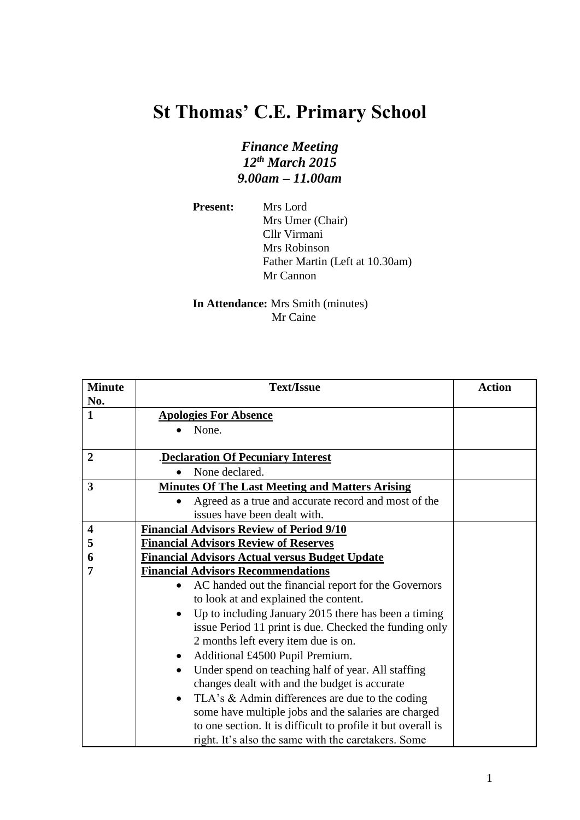## **St Thomas' C.E. Primary School**

## *Finance Meeting 12th March 2015 9.00am – 11.00am*

**Present:** Mrs Lord Mrs Umer (Chair) Cllr Virmani Mrs Robinson Father Martin (Left at 10.30am) Mr Cannon

## **In Attendance:** Mrs Smith (minutes) Mr Caine

| <b>Minute</b>           | <b>Text/Issue</b>                                                 | <b>Action</b> |
|-------------------------|-------------------------------------------------------------------|---------------|
| No.                     |                                                                   |               |
| 1                       | <b>Apologies For Absence</b>                                      |               |
|                         | None.                                                             |               |
|                         |                                                                   |               |
| $\boldsymbol{2}$        | <b>Declaration Of Pecuniary Interest</b>                          |               |
|                         | None declared.                                                    |               |
| 3                       | <b>Minutes Of The Last Meeting and Matters Arising</b>            |               |
|                         | Agreed as a true and accurate record and most of the              |               |
|                         | issues have been dealt with.                                      |               |
| $\overline{\mathbf{4}}$ | <b>Financial Advisors Review of Period 9/10</b>                   |               |
| 5                       | <b>Financial Advisors Review of Reserves</b>                      |               |
| 6                       | <b>Financial Advisors Actual versus Budget Update</b>             |               |
| 7                       | <b>Financial Advisors Recommendations</b>                         |               |
|                         | AC handed out the financial report for the Governors<br>$\bullet$ |               |
|                         | to look at and explained the content.                             |               |
|                         | Up to including January 2015 there has been a timing<br>٠         |               |
|                         | issue Period 11 print is due. Checked the funding only            |               |
|                         | 2 months left every item due is on.                               |               |
|                         | Additional £4500 Pupil Premium.                                   |               |
|                         | Under spend on teaching half of year. All staffing                |               |
|                         | changes dealt with and the budget is accurate                     |               |
|                         | TLA's & Admin differences are due to the coding<br>$\bullet$      |               |
|                         | some have multiple jobs and the salaries are charged              |               |
|                         | to one section. It is difficult to profile it but overall is      |               |
|                         | right. It's also the same with the caretakers. Some               |               |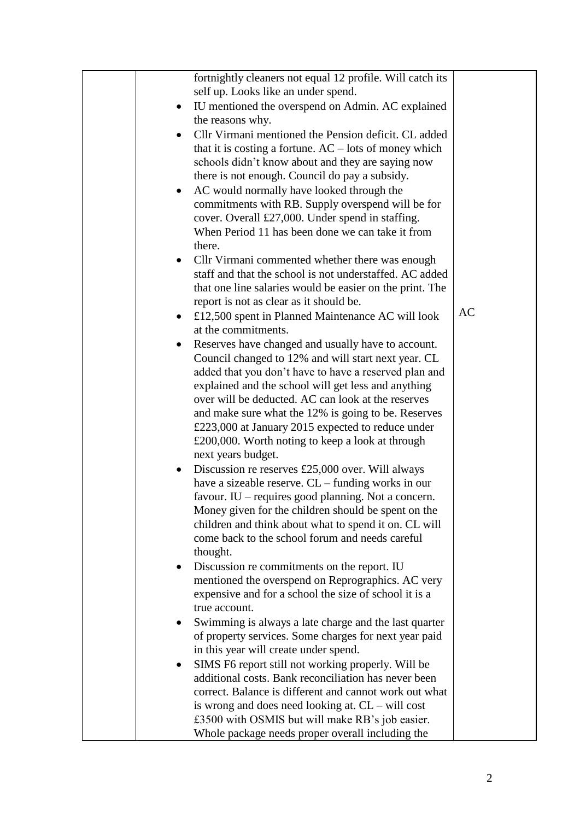| fortnightly cleaners not equal 12 profile. Will catch its    |           |
|--------------------------------------------------------------|-----------|
| self up. Looks like an under spend.                          |           |
| IU mentioned the overspend on Admin. AC explained            |           |
| the reasons why.                                             |           |
| Cllr Virmani mentioned the Pension deficit. CL added         |           |
| that it is costing a fortune. $AC$ – lots of money which     |           |
| schools didn't know about and they are saying now            |           |
| there is not enough. Council do pay a subsidy.               |           |
| AC would normally have looked through the                    |           |
| commitments with RB. Supply overspend will be for            |           |
| cover. Overall £27,000. Under spend in staffing.             |           |
| When Period 11 has been done we can take it from             |           |
| there.                                                       |           |
| Cllr Virmani commented whether there was enough<br>$\bullet$ |           |
| staff and that the school is not understaffed. AC added      |           |
| that one line salaries would be easier on the print. The     |           |
| report is not as clear as it should be.                      |           |
| £12,500 spent in Planned Maintenance AC will look            | <b>AC</b> |
| at the commitments.                                          |           |
| Reserves have changed and usually have to account.           |           |
| Council changed to 12% and will start next year. CL          |           |
| added that you don't have to have a reserved plan and        |           |
| explained and the school will get less and anything          |           |
| over will be deducted. AC can look at the reserves           |           |
| and make sure what the 12% is going to be. Reserves          |           |
| £223,000 at January 2015 expected to reduce under            |           |
| £200,000. Worth noting to keep a look at through             |           |
| next years budget.                                           |           |
| Discussion re reserves £25,000 over. Will always             |           |
| have a sizeable reserve. CL – funding works in our           |           |
| favour. IU – requires good planning. Not a concern.          |           |
| Money given for the children should be spent on the          |           |
| children and think about what to spend it on. CL will        |           |
| come back to the school forum and needs careful              |           |
| thought.                                                     |           |
| Discussion re commitments on the report. IU                  |           |
| mentioned the overspend on Reprographics. AC very            |           |
| expensive and for a school the size of school it is a        |           |
| true account.                                                |           |
| Swimming is always a late charge and the last quarter        |           |
| of property services. Some charges for next year paid        |           |
| in this year will create under spend.                        |           |
| SIMS F6 report still not working properly. Will be           |           |
| additional costs. Bank reconciliation has never been         |           |
| correct. Balance is different and cannot work out what       |           |
| is wrong and does need looking at. $CL - will cost$          |           |
| £3500 with OSMIS but will make RB's job easier.              |           |
| Whole package needs proper overall including the             |           |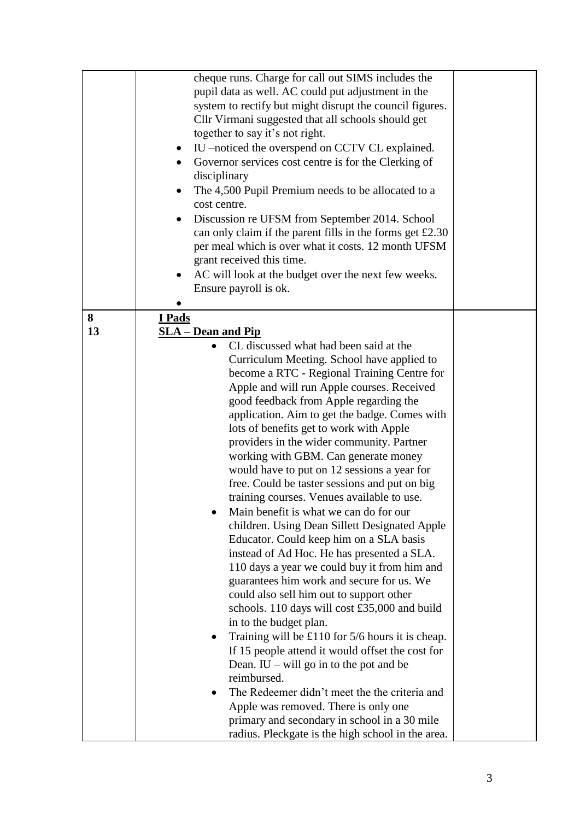|         | cheque runs. Charge for call out SIMS includes the<br>pupil data as well. AC could put adjustment in the<br>system to rectify but might disrupt the council figures.<br>Cllr Virmani suggested that all schools should get<br>together to say it's not right.<br>IU –noticed the overspend on CCTV CL explained.<br>Governor services cost centre is for the Clerking of<br>disciplinary<br>The 4,500 Pupil Premium needs to be allocated to a<br>cost centre.<br>Discussion re UFSM from September 2014. School<br>can only claim if the parent fills in the forms get £2.30<br>per meal which is over what it costs. 12 month UFSM<br>grant received this time.<br>AC will look at the budget over the next few weeks.<br>Ensure payroll is ok.                                                                                                                                                                                                                                                                                                                                                                                                                                                                                                                                                                                                                             |  |
|---------|-------------------------------------------------------------------------------------------------------------------------------------------------------------------------------------------------------------------------------------------------------------------------------------------------------------------------------------------------------------------------------------------------------------------------------------------------------------------------------------------------------------------------------------------------------------------------------------------------------------------------------------------------------------------------------------------------------------------------------------------------------------------------------------------------------------------------------------------------------------------------------------------------------------------------------------------------------------------------------------------------------------------------------------------------------------------------------------------------------------------------------------------------------------------------------------------------------------------------------------------------------------------------------------------------------------------------------------------------------------------------------|--|
| 8<br>13 | I Pads<br><b>SLA</b> – Dean and Pip<br>CL discussed what had been said at the<br>Curriculum Meeting. School have applied to<br>become a RTC - Regional Training Centre for<br>Apple and will run Apple courses. Received<br>good feedback from Apple regarding the<br>application. Aim to get the badge. Comes with<br>lots of benefits get to work with Apple<br>providers in the wider community. Partner<br>working with GBM. Can generate money<br>would have to put on 12 sessions a year for<br>free. Could be taster sessions and put on big<br>training courses. Venues available to use.<br>Main benefit is what we can do for our<br>children. Using Dean Sillett Designated Apple<br>Educator. Could keep him on a SLA basis<br>instead of Ad Hoc. He has presented a SLA.<br>110 days a year we could buy it from him and<br>guarantees him work and secure for us. We<br>could also sell him out to support other<br>schools. 110 days will cost £35,000 and build<br>in to the budget plan.<br>Training will be $£110$ for $5/6$ hours it is cheap.<br>If 15 people attend it would offset the cost for<br>Dean. IU – will go in to the pot and be<br>reimbursed.<br>The Redeemer didn't meet the the criteria and<br>Apple was removed. There is only one<br>primary and secondary in school in a 30 mile<br>radius. Pleckgate is the high school in the area. |  |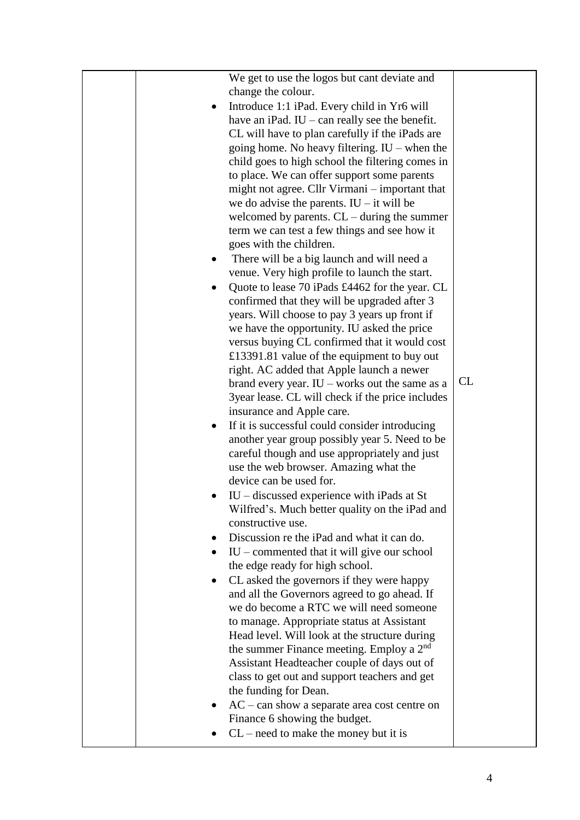| We get to use the logos but cant deviate and                |    |
|-------------------------------------------------------------|----|
| change the colour.                                          |    |
| Introduce 1:1 iPad. Every child in Yr6 will                 |    |
| have an iPad. $IU$ – can really see the benefit.            |    |
| CL will have to plan carefully if the iPads are             |    |
| going home. No heavy filtering. $IU$ – when the             |    |
| child goes to high school the filtering comes in            |    |
| to place. We can offer support some parents                 |    |
| might not agree. Cllr Virmani – important that              |    |
| we do advise the parents. $IU$ – it will be                 |    |
| welcomed by parents. $CL$ – during the summer               |    |
| term we can test a few things and see how it                |    |
| goes with the children.                                     |    |
| There will be a big launch and will need a                  |    |
| venue. Very high profile to launch the start.               |    |
| Quote to lease 70 iPads £4462 for the year. CL              |    |
| confirmed that they will be upgraded after 3                |    |
| years. Will choose to pay 3 years up front if               |    |
| we have the opportunity. IU asked the price                 |    |
| versus buying CL confirmed that it would cost               |    |
| £13391.81 value of the equipment to buy out                 |    |
| right. AC added that Apple launch a newer                   |    |
| brand every year. $IU$ – works out the same as a            | CL |
| 3 year lease. CL will check if the price includes           |    |
| insurance and Apple care.                                   |    |
| If it is successful could consider introducing<br>$\bullet$ |    |
| another year group possibly year 5. Need to be              |    |
| careful though and use appropriately and just               |    |
| use the web browser. Amazing what the                       |    |
| device can be used for.                                     |    |
| $IU$ – discussed experience with iPads at St                |    |
| Wilfred's. Much better quality on the iPad and              |    |
| constructive use.                                           |    |
| Discussion re the iPad and what it can do.                  |    |
| $IU$ – commented that it will give our school               |    |
| the edge ready for high school.                             |    |
| CL asked the governors if they were happy                   |    |
| and all the Governors agreed to go ahead. If                |    |
| we do become a RTC we will need someone                     |    |
| to manage. Appropriate status at Assistant                  |    |
| Head level. Will look at the structure during               |    |
| the summer Finance meeting. Employ a $2nd$                  |    |
| Assistant Headteacher couple of days out of                 |    |
| class to get out and support teachers and get               |    |
| the funding for Dean.                                       |    |
| $AC - can show a separate area cost centre on$              |    |
| Finance 6 showing the budget.                               |    |
| $CL$ – need to make the money but it is                     |    |
|                                                             |    |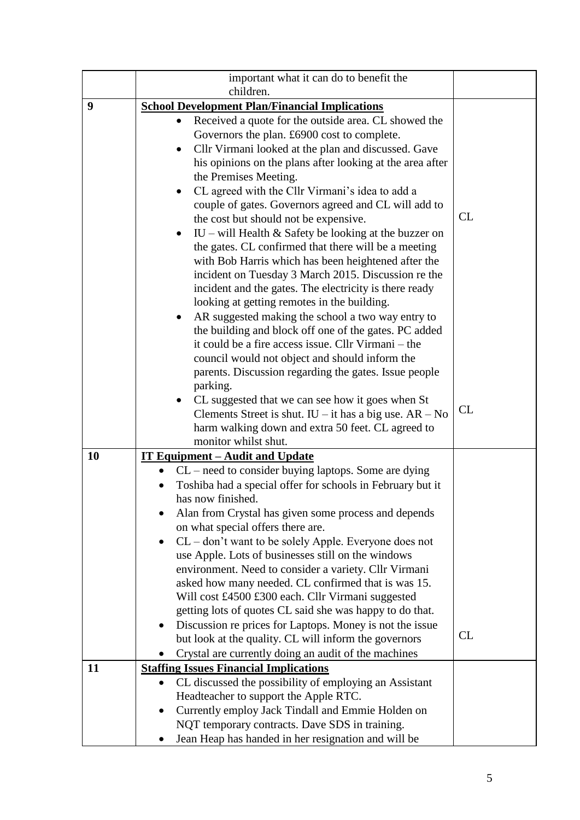|    | important what it can do to benefit the                                                                                       |    |
|----|-------------------------------------------------------------------------------------------------------------------------------|----|
|    | children.                                                                                                                     |    |
| 9  | <b>School Development Plan/Financial Implications</b>                                                                         |    |
|    | Received a quote for the outside area. CL showed the                                                                          |    |
|    | Governors the plan. £6900 cost to complete.                                                                                   |    |
|    | Cllr Virmani looked at the plan and discussed. Gave<br>$\bullet$<br>his opinions on the plans after looking at the area after |    |
|    | the Premises Meeting.                                                                                                         |    |
|    | CL agreed with the Cllr Virmani's idea to add a<br>$\bullet$                                                                  |    |
|    | couple of gates. Governors agreed and CL will add to                                                                          |    |
|    | the cost but should not be expensive.                                                                                         | CL |
|    | IU – will Health $&$ Safety be looking at the buzzer on                                                                       |    |
|    | the gates. CL confirmed that there will be a meeting                                                                          |    |
|    | with Bob Harris which has been heightened after the                                                                           |    |
|    | incident on Tuesday 3 March 2015. Discussion re the                                                                           |    |
|    | incident and the gates. The electricity is there ready                                                                        |    |
|    | looking at getting remotes in the building.                                                                                   |    |
|    | AR suggested making the school a two way entry to<br>the building and block off one of the gates. PC added                    |    |
|    | it could be a fire access issue. Cllr Virmani – the                                                                           |    |
|    | council would not object and should inform the                                                                                |    |
|    | parents. Discussion regarding the gates. Issue people                                                                         |    |
|    | parking.                                                                                                                      |    |
|    | CL suggested that we can see how it goes when St                                                                              |    |
|    | Clements Street is shut. $IU$ – it has a big use. $AR - No$                                                                   | CL |
|    | harm walking down and extra 50 feet. CL agreed to                                                                             |    |
|    | monitor whilst shut.                                                                                                          |    |
| 10 | <u><b>IT Equipment – Audit and Update</b></u>                                                                                 |    |
|    | CL – need to consider buying laptops. Some are dying<br>Toshiba had a special offer for schools in February but it            |    |
|    | has now finished.                                                                                                             |    |
|    | Alan from Crystal has given some process and depends                                                                          |    |
|    | on what special offers there are.                                                                                             |    |
|    | CL – don't want to be solely Apple. Everyone does not                                                                         |    |
|    | use Apple. Lots of businesses still on the windows                                                                            |    |
|    | environment. Need to consider a variety. Cllr Virmani                                                                         |    |
|    | asked how many needed. CL confirmed that is was 15.                                                                           |    |
|    | Will cost £4500 £300 each. Cllr Virmani suggested                                                                             |    |
|    | getting lots of quotes CL said she was happy to do that.                                                                      |    |
|    | Discussion re prices for Laptops. Money is not the issue<br>but look at the quality. CL will inform the governors             | CL |
|    | Crystal are currently doing an audit of the machines                                                                          |    |
| 11 | <b>Staffing Issues Financial Implications</b>                                                                                 |    |
|    | CL discussed the possibility of employing an Assistant                                                                        |    |
|    | Headteacher to support the Apple RTC.                                                                                         |    |
|    | Currently employ Jack Tindall and Emmie Holden on                                                                             |    |
|    | NQT temporary contracts. Dave SDS in training.                                                                                |    |
|    | Jean Heap has handed in her resignation and will be                                                                           |    |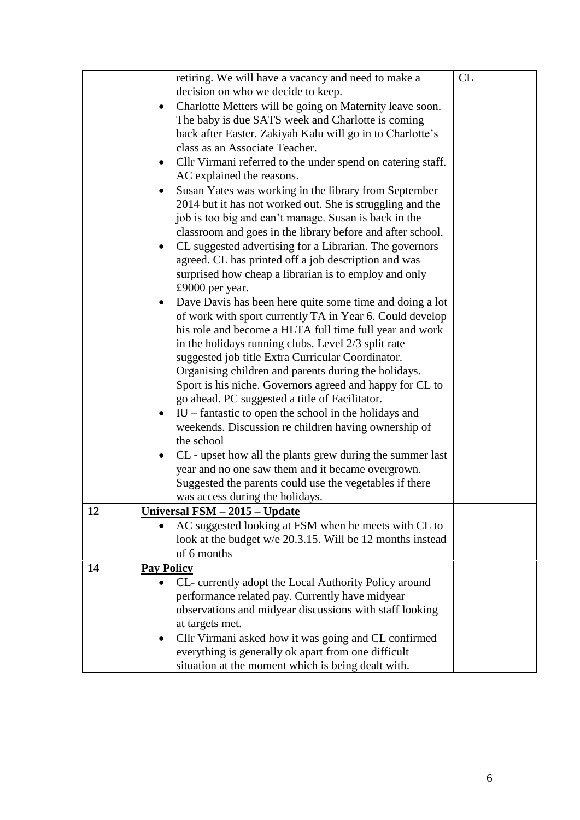|    | retiring. We will have a vacancy and need to make a<br>decision on who we decide to keep.<br>Charlotte Metters will be going on Maternity leave soon.<br>The baby is due SATS week and Charlotte is coming<br>back after Easter. Zakiyah Kalu will go in to Charlotte's<br>class as an Associate Teacher.<br>Cllr Virmani referred to the under spend on catering staff.<br>AC explained the reasons.<br>Susan Yates was working in the library from September<br>2014 but it has not worked out. She is struggling and the<br>job is too big and can't manage. Susan is back in the<br>classroom and goes in the library before and after school.<br>CL suggested advertising for a Librarian. The governors<br>agreed. CL has printed off a job description and was<br>surprised how cheap a librarian is to employ and only<br>£9000 per year.<br>Dave Davis has been here quite some time and doing a lot<br>of work with sport currently TA in Year 6. Could develop<br>his role and become a HLTA full time full year and work<br>in the holidays running clubs. Level 2/3 split rate<br>suggested job title Extra Curricular Coordinator.<br>Organising children and parents during the holidays.<br>Sport is his niche. Governors agreed and happy for CL to<br>go ahead. PC suggested a title of Facilitator.<br>$IU$ – fantastic to open the school in the holidays and<br>weekends. Discussion re children having ownership of | CL |
|----|-------------------------------------------------------------------------------------------------------------------------------------------------------------------------------------------------------------------------------------------------------------------------------------------------------------------------------------------------------------------------------------------------------------------------------------------------------------------------------------------------------------------------------------------------------------------------------------------------------------------------------------------------------------------------------------------------------------------------------------------------------------------------------------------------------------------------------------------------------------------------------------------------------------------------------------------------------------------------------------------------------------------------------------------------------------------------------------------------------------------------------------------------------------------------------------------------------------------------------------------------------------------------------------------------------------------------------------------------------------------------------------------------------------------------------------------|----|
|    | the school<br>CL - upset how all the plants grew during the summer last<br>year and no one saw them and it became overgrown.                                                                                                                                                                                                                                                                                                                                                                                                                                                                                                                                                                                                                                                                                                                                                                                                                                                                                                                                                                                                                                                                                                                                                                                                                                                                                                              |    |
|    | Suggested the parents could use the vegetables if there<br>was access during the holidays.                                                                                                                                                                                                                                                                                                                                                                                                                                                                                                                                                                                                                                                                                                                                                                                                                                                                                                                                                                                                                                                                                                                                                                                                                                                                                                                                                |    |
| 12 | <u><b>Universal FSM - 2015 - Update</b></u>                                                                                                                                                                                                                                                                                                                                                                                                                                                                                                                                                                                                                                                                                                                                                                                                                                                                                                                                                                                                                                                                                                                                                                                                                                                                                                                                                                                               |    |
|    | AC suggested looking at FSM when he meets with CL to                                                                                                                                                                                                                                                                                                                                                                                                                                                                                                                                                                                                                                                                                                                                                                                                                                                                                                                                                                                                                                                                                                                                                                                                                                                                                                                                                                                      |    |
|    | look at the budget w/e 20.3.15. Will be 12 months instead<br>of 6 months                                                                                                                                                                                                                                                                                                                                                                                                                                                                                                                                                                                                                                                                                                                                                                                                                                                                                                                                                                                                                                                                                                                                                                                                                                                                                                                                                                  |    |
| 14 | <b>Pay Policy</b>                                                                                                                                                                                                                                                                                                                                                                                                                                                                                                                                                                                                                                                                                                                                                                                                                                                                                                                                                                                                                                                                                                                                                                                                                                                                                                                                                                                                                         |    |
|    | CL- currently adopt the Local Authority Policy around<br>performance related pay. Currently have midyear<br>observations and midyear discussions with staff looking<br>at targets met.<br>Cllr Virmani asked how it was going and CL confirmed<br>$\bullet$<br>everything is generally ok apart from one difficult                                                                                                                                                                                                                                                                                                                                                                                                                                                                                                                                                                                                                                                                                                                                                                                                                                                                                                                                                                                                                                                                                                                        |    |
|    | situation at the moment which is being dealt with.                                                                                                                                                                                                                                                                                                                                                                                                                                                                                                                                                                                                                                                                                                                                                                                                                                                                                                                                                                                                                                                                                                                                                                                                                                                                                                                                                                                        |    |